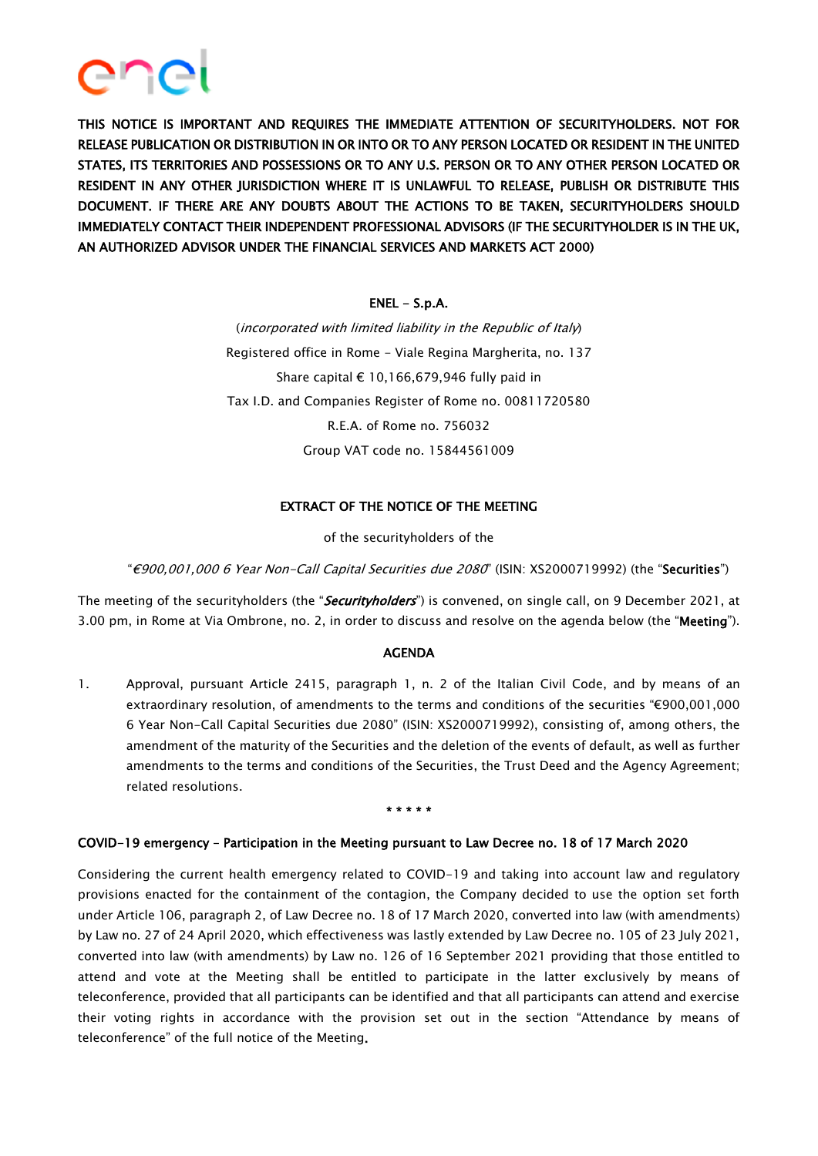

THIS NOTICE IS IMPORTANT AND REQUIRES THE IMMEDIATE ATTENTION OF SECURITYHOLDERS. NOT FOR RELEASE PUBLICATION OR DISTRIBUTION IN OR INTO OR TO ANY PERSON LOCATED OR RESIDENT IN THE UNITED STATES, ITS TERRITORIES AND POSSESSIONS OR TO ANY U.S. PERSON OR TO ANY OTHER PERSON LOCATED OR RESIDENT IN ANY OTHER JURISDICTION WHERE IT IS UNLAWFUL TO RELEASE, PUBLISH OR DISTRIBUTE THIS DOCUMENT. IF THERE ARE ANY DOUBTS ABOUT THE ACTIONS TO BE TAKEN, SECURITYHOLDERS SHOULD IMMEDIATELY CONTACT THEIR INDEPENDENT PROFESSIONAL ADVISORS (IF THE SECURITYHOLDER IS IN THE UK, AN AUTHORIZED ADVISOR UNDER THE FINANCIAL SERVICES AND MARKETS ACT 2000)

# $ENEL - S.p.A.$

(incorporated with limited liability in the Republic of Italy) Registered office in Rome - Viale Regina Margherita, no. 137 Share capital € 10,166,679,946 fully paid in Tax I.D. and Companies Register of Rome no. 00811720580 R.E.A. of Rome no. 756032 Group VAT code no. 15844561009

# EXTRACT OF THE NOTICE OF THE MEETING

of the securityholders of the

"€900,001,000 6 Year Non-Call Capital Securities due 2080" (ISIN: XS2000719992) (the "Securities")

The meeting of the securityholders (the "Securityholders") is convened, on single call, on 9 December 2021, at 3.00 pm, in Rome at Via Ombrone, no. 2, in order to discuss and resolve on the agenda below (the "Meeting").

### AGENDA

1. Approval, pursuant Article 2415, paragraph 1, n. 2 of the Italian Civil Code, and by means of an extraordinary resolution, of amendments to the terms and conditions of the securities "€900,001,000 6 Year Non-Call Capital Securities due 2080" (ISIN: XS2000719992), consisting of, among others, the amendment of the maturity of the Securities and the deletion of the events of default, as well as further amendments to the terms and conditions of the Securities, the Trust Deed and the Agency Agreement; related resolutions.

#### \* \* \* \* \*

### COVID-19 emergency – Participation in the Meeting pursuant to Law Decree no. 18 of 17 March 2020

Considering the current health emergency related to COVID-19 and taking into account law and regulatory provisions enacted for the containment of the contagion, the Company decided to use the option set forth under Article 106, paragraph 2, of Law Decree no. 18 of 17 March 2020, converted into law (with amendments) by Law no. 27 of 24 April 2020, which effectiveness was lastly extended by Law Decree no. 105 of 23 July 2021, converted into law (with amendments) by Law no. 126 of 16 September 2021 providing that those entitled to attend and vote at the Meeting shall be entitled to participate in the latter exclusively by means of teleconference, provided that all participants can be identified and that all participants can attend and exercise their voting rights in accordance with the provision set out in the section "Attendance by means of teleconference" of the full notice of the Meeting.